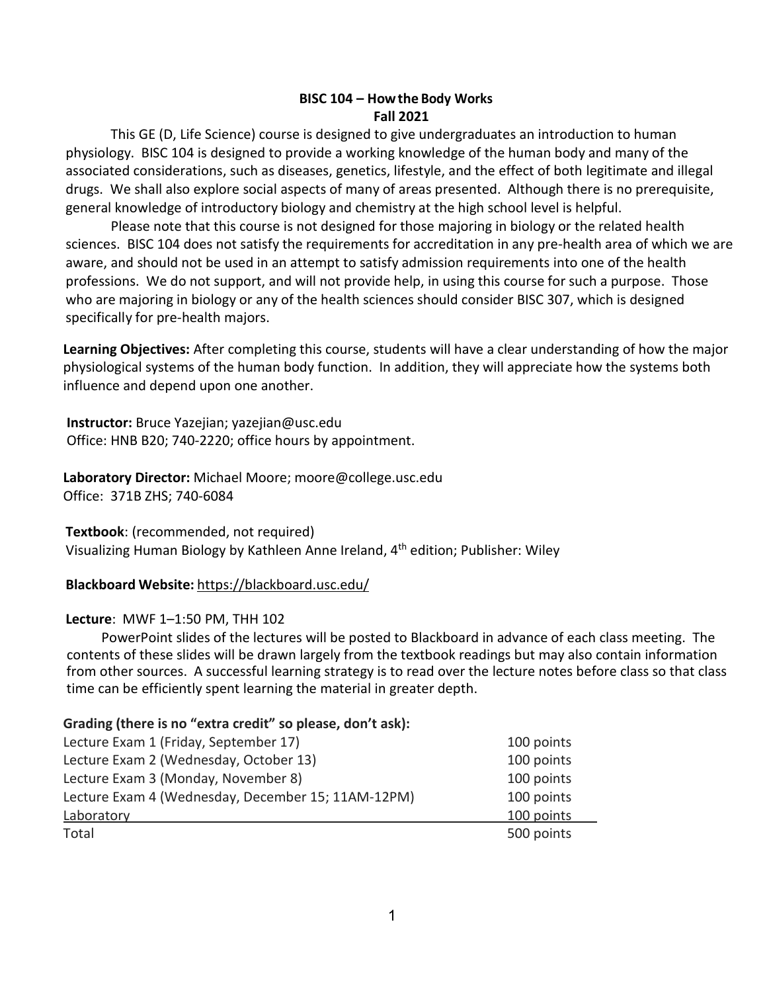### **BISC 104 – Howthe Body Works Fall 2021**

This GE (D, Life Science) course is designed to give undergraduates an introduction to human physiology. BISC 104 is designed to provide a working knowledge of the human body and many of the associated considerations, such as diseases, genetics, lifestyle, and the effect of both legitimate and illegal drugs. We shall also explore social aspects of many of areas presented. Although there is no prerequisite, general knowledge of introductory biology and chemistry at the high school level is helpful.

Please note that this course is not designed for those majoring in biology or the related health sciences. BISC 104 does not satisfy the requirements for accreditation in any pre-health area of which we are aware, and should not be used in an attempt to satisfy admission requirements into one of the health professions. We do not support, and will not provide help, in using this course for such a purpose. Those who are majoring in biology or any of the health sciences should consider BISC 307, which is designed specifically for pre-health majors.

 **Learning Objectives:** After completing this course, students will have a clear understanding of how the major physiological systems of the human body function. In addition, they will appreciate how the systems both influence and depend upon one another.

 **Instructor:** Bruce Yazejian; yazejian@usc.edu Office: HNB B20; 740-2220; office hours by appointment.

 **Laboratory Director:** Michael Moore; moore@college.usc.edu Office: 371B ZHS; 740-6084

**Textbook**: (recommended, not required) Visualizing Human Biology by Kathleen Anne Ireland, 4th edition; Publisher: Wiley

# **Blackboard Website:** <https://blackboard.usc.edu/>

### **Lecture**: MWF 1–1:50 PM, THH 102

PowerPoint slides of the lectures will be posted to Blackboard in advance of each class meeting. The contents of these slides will be drawn largely from the textbook readings but may also contain information from other sources. A successful learning strategy is to read over the lecture notes before class so that class time can be efficiently spent learning the material in greater depth.

### **Grading (there is no "extra credit" so please, don't ask):**

| Lecture Exam 1 (Friday, September 17)              | 100 points |
|----------------------------------------------------|------------|
| Lecture Exam 2 (Wednesday, October 13)             | 100 points |
| Lecture Exam 3 (Monday, November 8)                | 100 points |
| Lecture Exam 4 (Wednesday, December 15; 11AM-12PM) | 100 points |
| Laboratory                                         | 100 points |
| Total                                              | 500 points |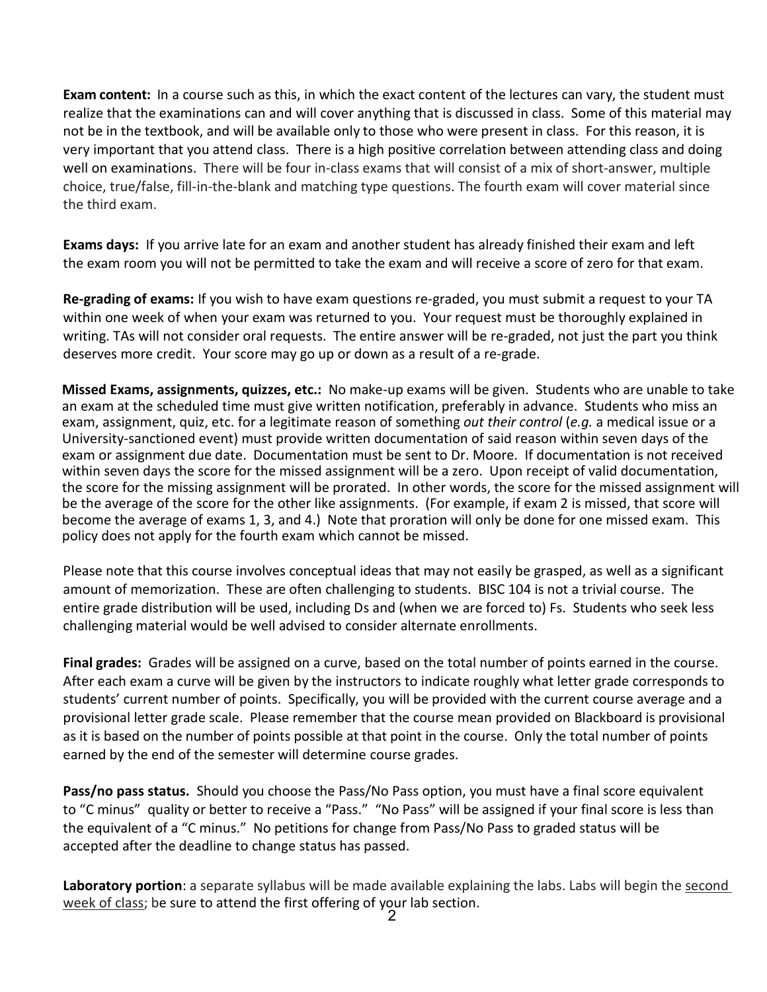**Exam content:** In a course such as this, in which the exact content of the lectures can vary, the student must realize that the examinations can and will cover anything that is discussed in class. Some of this material may not be in the textbook, and will be available only to those who were present in class. For this reason, it is very important that you attend class. There is a high positive correlation between attending class and doing well on examinations. There will be four in-class exams that will consist of a mix of short-answer, multiple choice, true/false, fill-in-the-blank and matching type questions. The fourth exam will cover material since the third exam.

**Exams days:** If you arrive late for an exam and another student has already finished their exam and left the exam room you will not be permitted to take the exam and will receive a score of zero for that exam.

**Re-grading of exams:** If you wish to have exam questions re-graded, you must submit a request to your TA within one week of when your exam was returned to you. Your request must be thoroughly explained in writing. TAs will not consider oral requests. The entire answer will be re-graded, not just the part you think deserves more credit. Your score may go up or down as a result of a re-grade.

**Missed Exams, assignments, quizzes, etc.:** No make-up exams will be given. Students who are unable to take an exam at the scheduled time must give written notification, preferably in advance. Students who miss an exam, assignment, quiz, etc. for a legitimate reason of something *out their control* (*e.g.* a medical issue or a University-sanctioned event) must provide written documentation of said reason within seven days of the exam or assignment due date. Documentation must be sent to Dr. Moore. If documentation is not received within seven days the score for the missed assignment will be a zero. Upon receipt of valid documentation, the score for the missing assignment will be prorated. In other words, the score for the missed assignment will be the average of the score for the other like assignments. (For example, if exam 2 is missed, that score will become the average of exams 1, 3, and 4.) Note that proration will only be done for one missed exam. This policy does not apply for the fourth exam which cannot be missed.

Please note that this course involves conceptual ideas that may not easily be grasped, as well as a significant amount of memorization. These are often challenging to students. BISC 104 is not a trivial course. The entire grade distribution will be used, including Ds and (when we are forced to) Fs. Students who seek less challenging material would be well advised to consider alternate enrollments.

**Final grades:** Grades will be assigned on a curve, based on the total number of points earned in the course. After each exam a curve will be given by the instructors to indicate roughly what letter grade corresponds to students' current number of points. Specifically, you will be provided with the current course average and a provisional letter grade scale. Please remember that the course mean provided on Blackboard is provisional as it is based on the number of points possible at that point in the course. Only the total number of points earned by the end of the semester will determine course grades.

**Pass/no pass status.** Should you choose the Pass/No Pass option, you must have a final score equivalent to "C minus" quality or better to receive a "Pass." "No Pass" will be assigned if your final score is less than the equivalent of a "C minus." No petitions for change from Pass/No Pass to graded status will be accepted after the deadline to change status has passed.

Laboratory portion: a separate syllabus will be made available explaining the labs. Labs will begin the second week of class; be sure to attend the first offering of your lab section.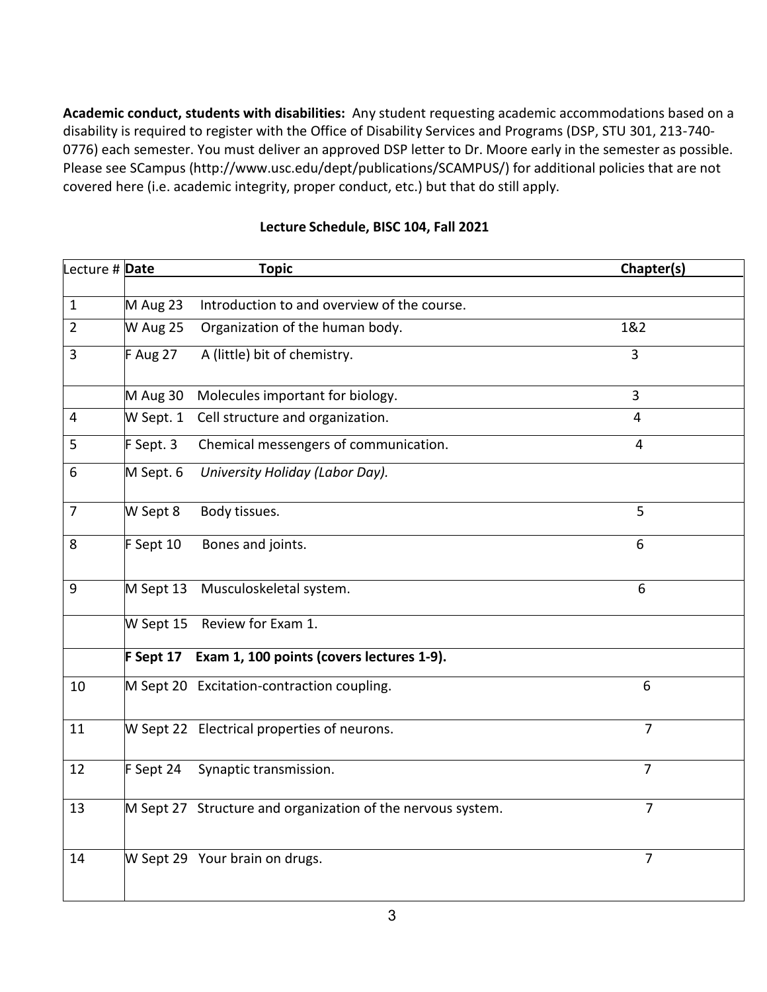**Academic conduct, students with disabilities:** Any student requesting academic accommodations based on a disability is required to register with the Office of Disability Services and Programs (DSP, STU 301, 213-740- 0776) each semester. You must deliver an approved DSP letter to Dr. Moore early in the semester as possible. Please see SCampus [\(http://www.usc.edu/dept/publications/SCAMPUS/\)](http://www.usc.edu/dept/publications/SCAMPUS/)) for additional policies that are not covered here (i.e. academic integrity, proper conduct, etc.) but that do still apply.

| Lecture # Date |           | <b>Topic</b>                                                | Chapter(s)     |
|----------------|-----------|-------------------------------------------------------------|----------------|
|                |           |                                                             |                |
| 1              | M Aug 23  | Introduction to and overview of the course.                 |                |
| $\overline{2}$ | W Aug 25  | Organization of the human body.                             | 1&2            |
| 3              | F Aug 27  | A (little) bit of chemistry.                                | 3              |
|                | M Aug 30  | Molecules important for biology.                            | $\overline{3}$ |
| $\overline{4}$ | W Sept. 1 | Cell structure and organization.                            | $\overline{4}$ |
| 5              | F Sept. 3 | Chemical messengers of communication.                       | $\overline{4}$ |
| 6              | M Sept. 6 | University Holiday (Labor Day).                             |                |
| $\overline{7}$ | W Sept 8  | Body tissues.                                               | 5              |
| 8              | F Sept 10 | Bones and joints.                                           | 6              |
| 9              | M Sept 13 | Musculoskeletal system.                                     | 6              |
|                |           | W Sept 15 Review for Exam 1.                                |                |
|                | F Sept 17 | Exam 1, 100 points (covers lectures 1-9).                   |                |
| 10             |           | M Sept 20 Excitation-contraction coupling.                  | 6              |
| 11             |           | W Sept 22 Electrical properties of neurons.                 | $\overline{7}$ |
| 12             | F Sept 24 | Synaptic transmission.                                      | $\overline{7}$ |
| 13             |           | M Sept 27 Structure and organization of the nervous system. | $\overline{7}$ |
| 14             |           | W Sept 29 Your brain on drugs.                              | $\overline{7}$ |
|                |           |                                                             |                |

## **Lecture Schedule, BISC 104, Fall 2021**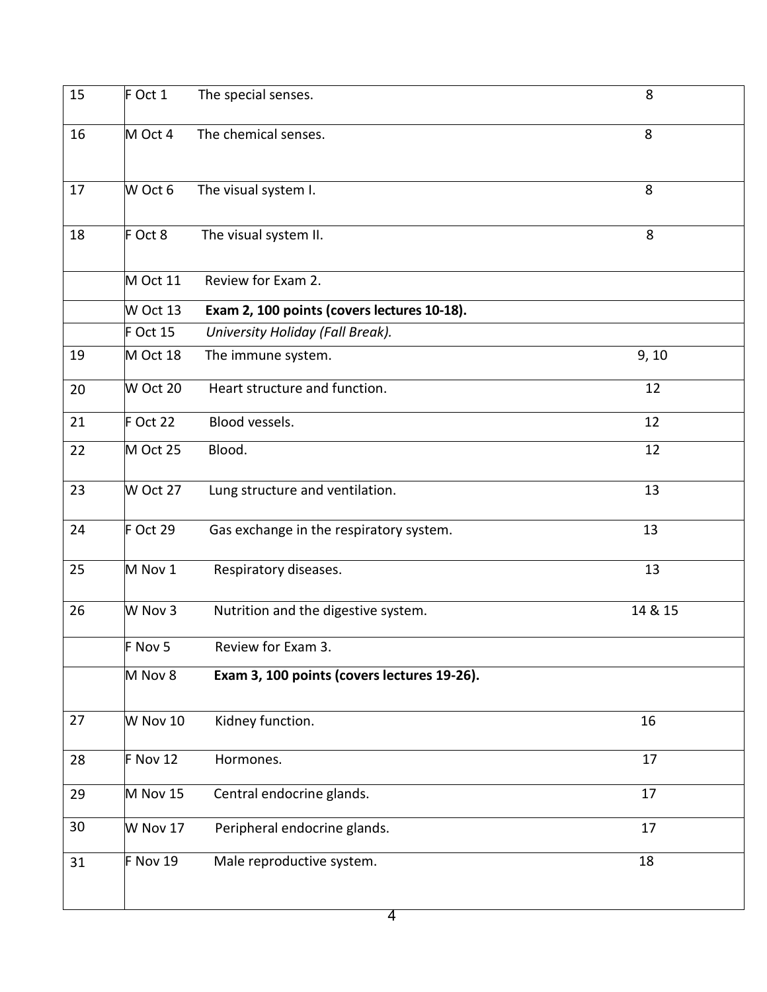| 15 | F Oct 1    | The special senses.                         | 8       |
|----|------------|---------------------------------------------|---------|
| 16 | M Oct 4    | The chemical senses.                        | 8       |
| 17 | W Oct 6    | The visual system I.                        | 8       |
| 18 | F Oct 8    | The visual system II.                       | 8       |
|    | M Oct 11   | Review for Exam 2.                          |         |
|    | W Oct 13   | Exam 2, 100 points (covers lectures 10-18). |         |
|    | $F$ Oct 15 | University Holiday (Fall Break).            |         |
| 19 | M Oct 18   | The immune system.                          | 9, 10   |
| 20 | W Oct 20   | Heart structure and function.               | 12      |
| 21 | $F$ Oct 22 | Blood vessels.                              | 12      |
| 22 | M Oct 25   | Blood.                                      | 12      |
| 23 | W Oct 27   | Lung structure and ventilation.             | 13      |
| 24 | F Oct 29   | Gas exchange in the respiratory system.     | 13      |
| 25 | M Nov 1    | Respiratory diseases.                       | 13      |
| 26 | W Nov 3    | Nutrition and the digestive system.         | 14 & 15 |
|    | F Nov 5    | Review for Exam 3.                          |         |
|    | M Nov 8    | Exam 3, 100 points (covers lectures 19-26). |         |
| 27 | W Nov 10   | Kidney function.                            | 16      |
| 28 | $F$ Nov 12 | Hormones.                                   | 17      |
| 29 | M Nov 15   | Central endocrine glands.                   | 17      |
| 30 | W Nov 17   | Peripheral endocrine glands.                | 17      |
| 31 | F Nov 19   | Male reproductive system.                   | 18      |
|    |            |                                             |         |